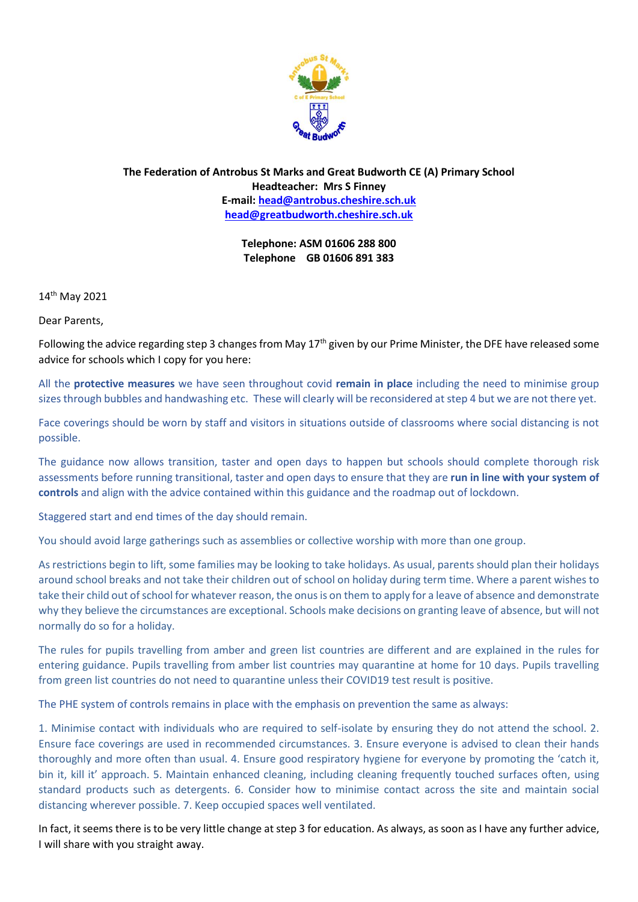

**The Federation of Antrobus St Marks and Great Budworth CE (A) Primary School Headteacher: Mrs S Finney E-mail: [head@antrobus.cheshire.sch.uk](mailto:head@antrobus-st-marks.cheshire.sch.uk) [head@greatbudworth.cheshire.sch.uk](mailto:head@greatbudworth.cheshire.sch.uk)**

> **Telephone: ASM 01606 288 800 Telephone GB 01606 891 383**

14th May 2021

Dear Parents,

Following the advice regarding step 3 changes from May  $17<sup>th</sup>$  given by our Prime Minister, the DFE have released some advice for schools which I copy for you here:

All the **protective measures** we have seen throughout covid **remain in place** including the need to minimise group sizes through bubbles and handwashing etc. These will clearly will be reconsidered at step 4 but we are not there yet.

Face coverings should be worn by staff and visitors in situations outside of classrooms where social distancing is not possible.

The guidance now allows transition, taster and open days to happen but schools should complete thorough risk assessments before running transitional, taster and open days to ensure that they are **run in line with your system of controls** and align with the advice contained within this guidance and the roadmap out of lockdown.

Staggered start and end times of the day should remain.

You should avoid large gatherings such as assemblies or collective worship with more than one group.

As restrictions begin to lift, some families may be looking to take holidays. As usual, parents should plan their holidays around school breaks and not take their children out of school on holiday during term time. Where a parent wishes to take their child out of school for whatever reason, the onus is on them to apply for a leave of absence and demonstrate why they believe the circumstances are exceptional. Schools make decisions on granting leave of absence, but will not normally do so for a holiday.

The rules for pupils travelling from amber and green list countries are different and are explained in the rules for entering guidance. Pupils travelling from amber list countries may quarantine at home for 10 days. Pupils travelling from green list countries do not need to quarantine unless their COVID19 test result is positive.

The PHE system of controls remains in place with the emphasis on prevention the same as always:

1. Minimise contact with individuals who are required to self-isolate by ensuring they do not attend the school. 2. Ensure face coverings are used in recommended circumstances. 3. Ensure everyone is advised to clean their hands thoroughly and more often than usual. 4. Ensure good respiratory hygiene for everyone by promoting the 'catch it, bin it, kill it' approach. 5. Maintain enhanced cleaning, including cleaning frequently touched surfaces often, using standard products such as detergents. 6. Consider how to minimise contact across the site and maintain social distancing wherever possible. 7. Keep occupied spaces well ventilated.

In fact, it seems there is to be very little change at step 3 for education. As always, as soon as I have any further advice, I will share with you straight away.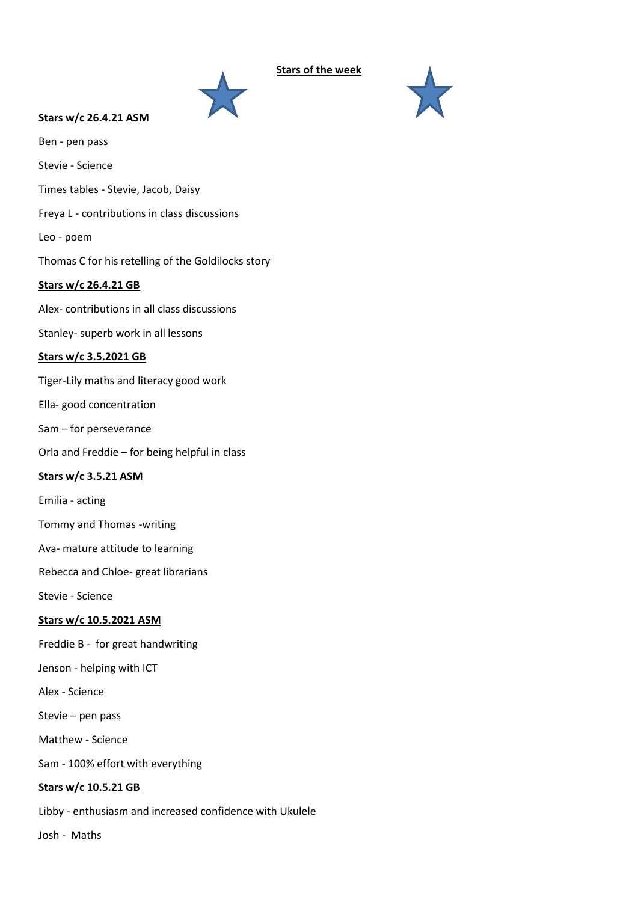

# **Stars w/c 26.4.21 ASM**

Ben - pen pass

Stevie - Science

Times tables - Stevie, Jacob, Daisy

Freya L - contributions in class discussions

Leo - poem

Thomas C for his retelling of the Goldilocks story

# **Stars w/c 26.4.21 GB**

Alex- contributions in all class discussions

Stanley- superb work in all lessons

### **Stars w/c 3.5.2021 GB**

Tiger-Lily maths and literacy good work

Ella- good concentration

Sam – for perseverance

Orla and Freddie – for being helpful in class

# **Stars w/c 3.5.21 ASM**

Emilia - acting

Tommy and Thomas -writing

Ava- mature attitude to learning

Rebecca and Chloe- great librarians

Stevie - Science

# **Stars w/c 10.5.2021 ASM**

Freddie B - for great handwriting

Jenson - helping with ICT

Alex - Science

Stevie – pen pass

Matthew - Science

Sam - 100% effort with everything

#### **Stars w/c 10.5.21 GB**

Libby - enthusiasm and increased confidence with Ukulele

Josh - Maths